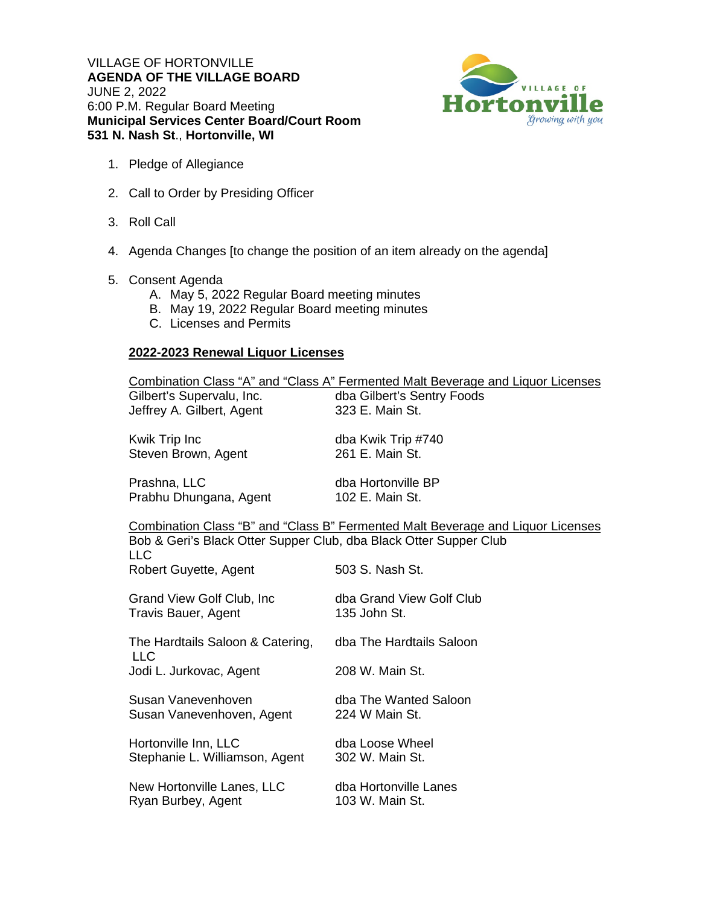VILLAGE OF HORTONVILLE **AGENDA OF THE VILLAGE BOARD**  JUNE 2, 2022 6:00 P.M. Regular Board Meeting **Municipal Services Center Board/Court Room 531 N. Nash St**., **Hortonville, WI**



- 1. Pledge of Allegiance
- 2. Call to Order by Presiding Officer
- 3. Roll Call
- 4. Agenda Changes [to change the position of an item already on the agenda]
- 5. Consent Agenda
	- A. May 5, 2022 Regular Board meeting minutes
	- B. May 19, 2022 Regular Board meeting minutes
	- C. Licenses and Permits

## **2022-2023 Renewal Liquor Licenses**

| Gilbert's Supervalu, Inc.<br>Jeffrey A. Gilbert, Agent                                                                                                                    | Combination Class "A" and "Class A" Fermented Malt Beverage and Liquor Licenses<br>dba Gilbert's Sentry Foods<br>323 E. Main St. |
|---------------------------------------------------------------------------------------------------------------------------------------------------------------------------|----------------------------------------------------------------------------------------------------------------------------------|
| Kwik Trip Inc                                                                                                                                                             | dba Kwik Trip #740                                                                                                               |
| Steven Brown, Agent                                                                                                                                                       | 261 E. Main St.                                                                                                                  |
| Prashna, LLC                                                                                                                                                              | dba Hortonville BP                                                                                                               |
| Prabhu Dhungana, Agent                                                                                                                                                    | 102 E. Main St.                                                                                                                  |
| <b>Combination Class "B" and "Class B" Fermented Malt Beverage and Liquor Licenses</b><br>Bob & Geri's Black Otter Supper Club, dba Black Otter Supper Club<br><b>LLC</b> |                                                                                                                                  |
| Robert Guyette, Agent                                                                                                                                                     | 503 S. Nash St.                                                                                                                  |
| Grand View Golf Club, Inc.                                                                                                                                                | dba Grand View Golf Club                                                                                                         |
| Travis Bauer, Agent                                                                                                                                                       | 135 John St.                                                                                                                     |
| The Hardtails Saloon & Catering,<br><b>LLC</b>                                                                                                                            | dba The Hardtails Saloon                                                                                                         |
| Jodi L. Jurkovac, Agent                                                                                                                                                   | 208 W. Main St.                                                                                                                  |
| Susan Vanevenhoven                                                                                                                                                        | dba The Wanted Saloon                                                                                                            |
| Susan Vanevenhoven, Agent                                                                                                                                                 | 224 W Main St.                                                                                                                   |
| Hortonville Inn, LLC                                                                                                                                                      | dba Loose Wheel                                                                                                                  |
| Stephanie L. Williamson, Agent                                                                                                                                            | 302 W. Main St.                                                                                                                  |
| New Hortonville Lanes, LLC                                                                                                                                                | dba Hortonville Lanes                                                                                                            |
| Ryan Burbey, Agent                                                                                                                                                        | 103 W. Main St.                                                                                                                  |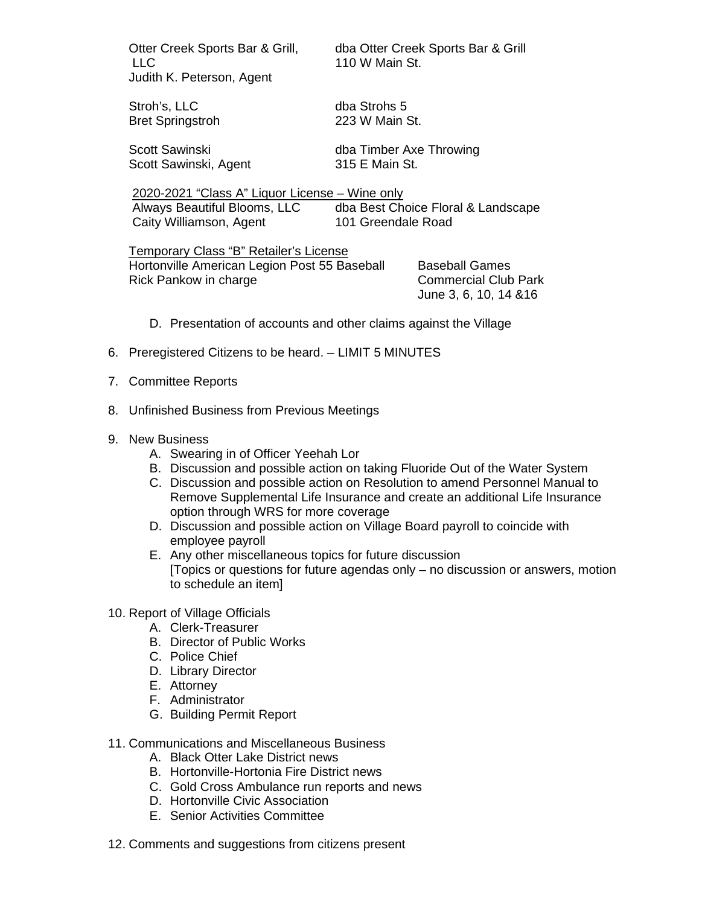LLC 110 W Main St. Judith K. Peterson, Agent

Otter Creek Sports Bar & Grill, dba Otter Creek Sports Bar & Grill

Stroh's, LLC dba Strohs 5 Bret Springstroh 223 W Main St.

Scott Sawinski, Agent 315 E Main St.

Scott Sawinski dba Timber Axe Throwing

 2020-2021 "Class A" Liquor License – Wine only Always Beautiful Blooms, LLC dba Best Choice Floral & Landscape Caity Williamson, Agent 101 Greendale Road

Temporary Class "B" Retailer's License Hortonville American Legion Post 55 Baseball Baseball Games Rick Pankow in charge Commercial Club Park

June 3, 6, 10, 14 &16

- D. Presentation of accounts and other claims against the Village
- 6. Preregistered Citizens to be heard. LIMIT 5 MINUTES
- 7. Committee Reports
- 8. Unfinished Business from Previous Meetings
- 9. New Business
	- A. Swearing in of Officer Yeehah Lor
	- B. Discussion and possible action on taking Fluoride Out of the Water System
	- C. Discussion and possible action on Resolution to amend Personnel Manual to Remove Supplemental Life Insurance and create an additional Life Insurance option through WRS for more coverage
	- D. Discussion and possible action on Village Board payroll to coincide with employee payroll
	- E. Any other miscellaneous topics for future discussion [Topics or questions for future agendas only – no discussion or answers, motion to schedule an item]
- 10. Report of Village Officials
	- A. Clerk-Treasurer
	- B. Director of Public Works
	- C. Police Chief
	- D. Library Director
	- E. Attorney
	- F. Administrator
	- G. Building Permit Report
- 11. Communications and Miscellaneous Business
	- A. Black Otter Lake District news
	- B. Hortonville-Hortonia Fire District news
	- C. Gold Cross Ambulance run reports and news
	- D. Hortonville Civic Association
	- E. Senior Activities Committee
- 12. Comments and suggestions from citizens present